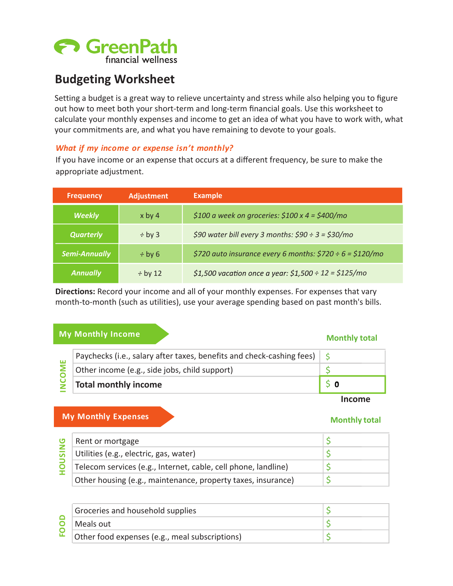# **A** GreenPath financial wellness

# **Budgeting Worksheet**

Setting a budget is a great way to relieve uncertainty and stress while also helping you to figure out how to meet both your short-term and long-term financial goals. Use this worksheet to calculate your monthly expenses and income to get an idea of what you have to work with, what your commitments are, and what you have remaining to devote to your goals.

## *What if my income or expense isn't monthly?*

If you have income or an expense that occurs at a different frequency, be sure to make the appropriate adjustment.

| <b>Frequency</b>     | <b>Adjustment</b>                                                        | <b>Example</b>                                         |
|----------------------|--------------------------------------------------------------------------|--------------------------------------------------------|
| <b>Weekly</b>        | $x$ by 4                                                                 | \$100 a week on groceries: $$100 \times 4 = $400/mol$  |
| <b>Quarterly</b>     | $\div$ by 3                                                              | \$90 water bill every 3 months: $$90 \div 3 = $30/mol$ |
| <b>Semi-Annually</b> | \$720 auto insurance every 6 months: \$720 ÷ 6 = \$120/mo<br>$\div$ by 6 |                                                        |
| <b>Annually</b>      | $\div$ by 12                                                             | \$1,500 vacation once a year: \$1,500 ÷ 12 = \$125/mo  |

**Directions:** Record your income and all of your monthly expenses. For expenses that vary month-to-month (such as utilities), use your average spending based on past month's bills.

## **My Monthly Income and South American** and Monthly total

| Paychecks (i.e., salary after taxes, benefits and check-cashing fees)<br>ŠΕ<br>Other income (e.g., side jobs, child support)<br>$\mathbf{S}$<br><b>Total monthly income</b><br>0 |  | <b>My Monthly Expenses</b> | <b>Income</b><br>Monthly total |
|----------------------------------------------------------------------------------------------------------------------------------------------------------------------------------|--|----------------------------|--------------------------------|
|                                                                                                                                                                                  |  |                            |                                |
|                                                                                                                                                                                  |  |                            |                                |
|                                                                                                                                                                                  |  |                            |                                |

### **Income**

## **Monthly total**

| ပ         | Rent or mortgage                                               |  |
|-----------|----------------------------------------------------------------|--|
| <b>Un</b> | Utilities (e.g., electric, gas, water)                         |  |
|           | Telecom services (e.g., Internet, cable, cell phone, landline) |  |
|           | Other housing (e.g., maintenance, property taxes, insurance)   |  |

| Groceries and household supplies               |  |
|------------------------------------------------|--|
| Meals out                                      |  |
| Other food expenses (e.g., meal subscriptions) |  |